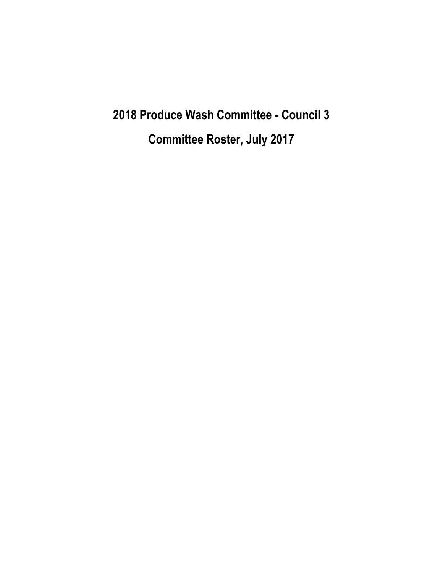**2018 Produce Wash Committee - Council 3 Committee Roster, July 2017**